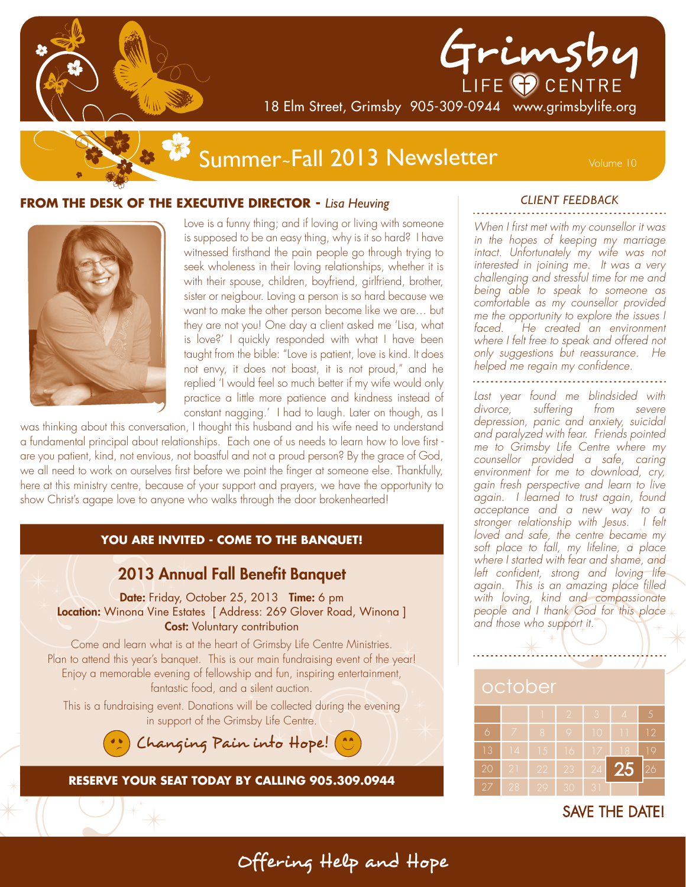



18 Elm Street, Grimsby 905-309-0944 www.grimsbylife.org

# Summer~Fall 2013 Newsletter Volume 10

### **FROM THE DESK OF THE EXECUTIVE DIRECTOR -** *Lisa Heuving*



Love is a funny thing; and if loving or living with someone is supposed to be an easy thing, why is it so hard? I have witnessed firsthand the pain people go through trying to seek wholeness in their loving relationships, whether it is with their spouse, children, boyfriend, girlfriend, brother, sister or neigbour. Loving a person is so hard because we want to make the other person become like we are… but they are not you! One day a client asked me 'Lisa, what is love?' I quickly responded with what I have been taught from the bible: "Love is patient, love is kind. It does not envy, it does not boast, it is not proud," and he replied 'I would feel so much better if my wife would only practice a little more patience and kindness instead of constant nagging.' I had to laugh. Later on though, as I

was thinking about this conversation, I thought this husband and his wife need to understand a fundamental principal about relationships. Each one of us needs to learn how to love first are you patient, kind, not envious, not boastful and not a proud person? By the grace of God, we all need to work on ourselves first before we point the finger at someone else. Thankfully, here at this ministry centre, because of your support and prayers, we have the opportunity to show Christ's agape love to anyone who walks through the door brokenhearted!

#### **YOU ARE INVITED - COME TO THE BANQUET!**



#### *CLIENT FEEDBACK*

When I first met with my counsellor it was in the hopes of keeping my marriage intact. Unfortunately my wife was not interested in joining me. It was a very challenging and stressful time for me and being able to speak to someone as comfortable as my counsellor provided me the opportunity to explore the issues I faced. He created an environment where I felt free to speak and offered not only suggestions but reassurance. He helped me regain my confidence.

Last year found me blindsided with divorce, suffering from severe depression, panic and anxiety, suicidal and paralyzed with fear. Friends pointed me to Grimsby Life Centre where my counsellor provided a safe, caring environment for me to download, cry, gain fresh perspective and learn to live again. I learned to trust again, found acceptance and a new way to a stronger relationship with Jesus. I felt loved and safe, the centre became my soft place to fall, my lifeline, a place where I started with fear and shame, and left confident, strong and loving life again. This is an amazing place filled with loving, kind and compassionate people and I thank God for this place and those who support it.

# october

|    |    |    | I2 | 3           | $\overline{A}$ | 5  |
|----|----|----|----|-------------|----------------|----|
| 6  |    | 8  | Q  | 10          |                | 12 |
| 13 | 14 | 15 | 16 | 17          | 18             | 19 |
| 20 | 21 | 22 | 23 | 24          | <b>25</b>      | 26 |
| 27 | 28 | 29 | 30 | $3^{\circ}$ |                |    |

SAVE THE DATE!

Offering'Help'and'Hope